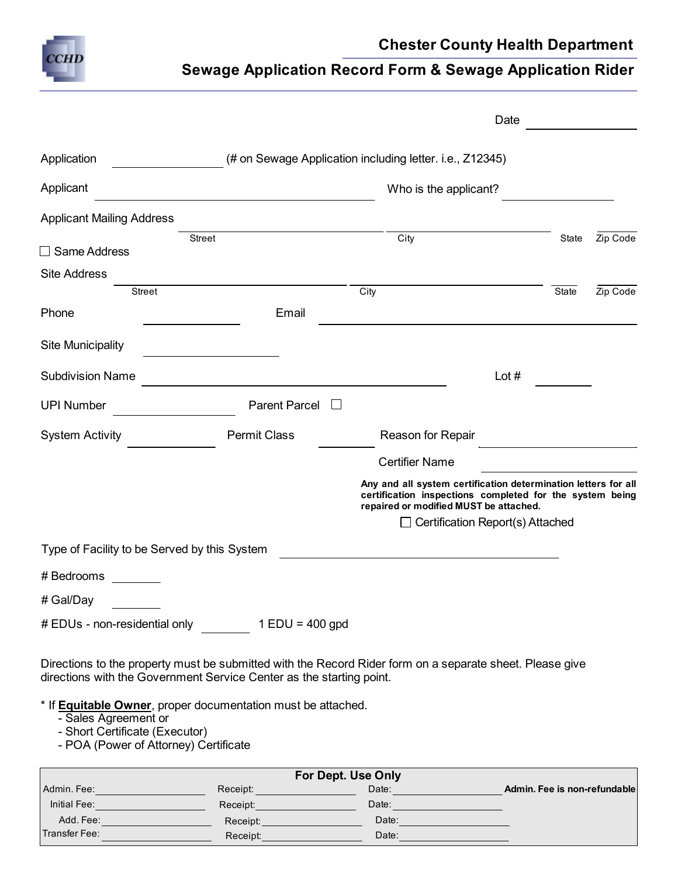

## **Chester County Health Department**

## **Sewage Application Record Form & Sewage Application Rider**

|                                                                                                    |                                                                      | Date                                                                                                                                                                 |       |          |
|----------------------------------------------------------------------------------------------------|----------------------------------------------------------------------|----------------------------------------------------------------------------------------------------------------------------------------------------------------------|-------|----------|
| Application                                                                                        |                                                                      | (# on Sewage Application including letter. i.e., Z12345)                                                                                                             |       |          |
| Applicant                                                                                          |                                                                      | Who is the applicant?                                                                                                                                                |       |          |
| <b>Applicant Mailing Address</b>                                                                   |                                                                      |                                                                                                                                                                      |       |          |
| $\Box$ Same Address                                                                                | <b>Street</b>                                                        | City                                                                                                                                                                 | State | Zip Code |
| <b>Site Address</b>                                                                                |                                                                      |                                                                                                                                                                      |       |          |
| <b>Street</b>                                                                                      |                                                                      | City                                                                                                                                                                 | State | Zip Code |
| Phone                                                                                              | Email                                                                |                                                                                                                                                                      |       |          |
| <b>Site Municipality</b>                                                                           |                                                                      |                                                                                                                                                                      |       |          |
| <b>Subdivision Name</b>                                                                            |                                                                      | Lot $#$                                                                                                                                                              |       |          |
| <b>UPI Number</b>                                                                                  | <b>Parent Parcel</b>                                                 |                                                                                                                                                                      |       |          |
| <b>System Activity</b>                                                                             | <b>Permit Class</b>                                                  | Reason for Repair                                                                                                                                                    |       |          |
|                                                                                                    |                                                                      | <b>Certifier Name</b>                                                                                                                                                |       |          |
|                                                                                                    |                                                                      | Any and all system certification determination letters for all<br>certification inspections completed for the system being<br>repaired or modified MUST be attached. |       |          |
|                                                                                                    |                                                                      | $\Box$ Certification Report(s) Attached                                                                                                                              |       |          |
| Type of Facility to be Served by this System                                                       |                                                                      |                                                                                                                                                                      |       |          |
| # Bedrooms                                                                                         |                                                                      |                                                                                                                                                                      |       |          |
| # Gal/Day                                                                                          |                                                                      |                                                                                                                                                                      |       |          |
|                                                                                                    | $\#$ EDUs - non-residential only $1$ EDU = 400 gpd                   |                                                                                                                                                                      |       |          |
|                                                                                                    | directions with the Government Service Center as the starting point. | Directions to the property must be submitted with the Record Rider form on a separate sheet. Please give                                                             |       |          |
| - Sales Agreement or<br>- Short Certificate (Executor)<br>$P(A   D_1, \ldots, A   M_2, \ldots, A)$ | * If <b>Equitable Owner</b> , proper documentation must be attached. |                                                                                                                                                                      |       |          |

- POA (Power of Attorney) Certificate

| Admin, Fee:   | Receipt: | Date: | Admin. Fee is non-refundable |
|---------------|----------|-------|------------------------------|
| Initial Fee:  | Receipt: | Date: |                              |
| Add. Fee:     | Receipt: | Date: |                              |
| Transfer Fee: | Receipt: | Date: |                              |